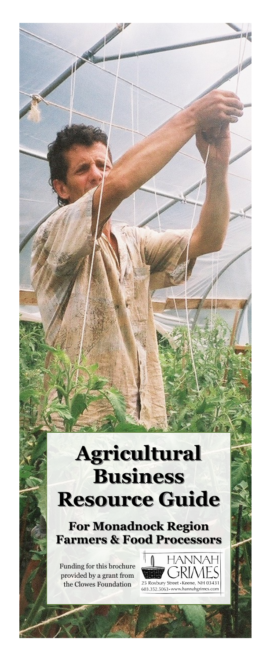## **Agricultural Business Resource Guide**

**For Monadnock Region Farmers & Food Processors**

Funding for this brochure provided by a grant from the Clowes Foundation